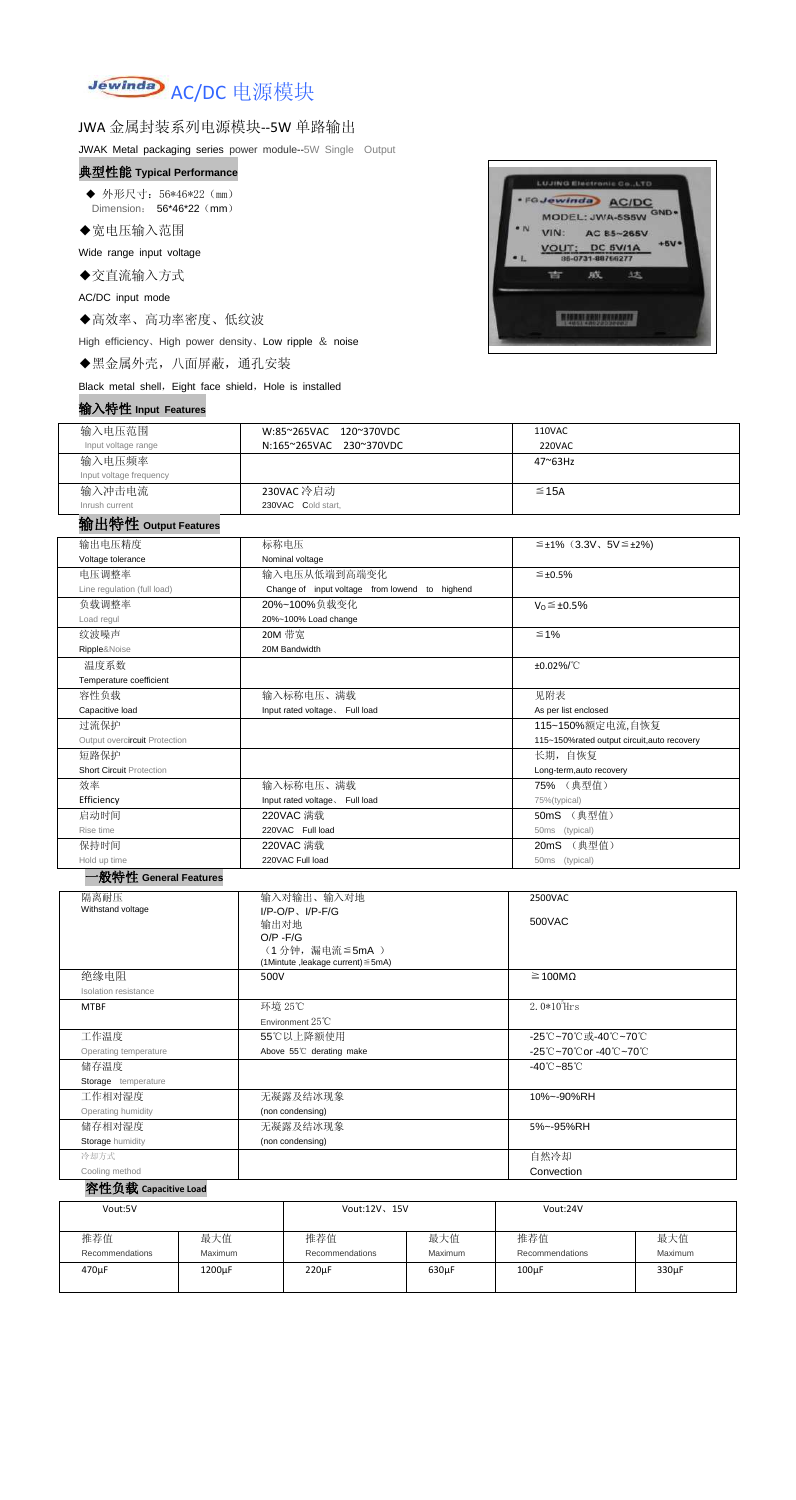

# JWA 金属封装系列电源模块--5W 单路输出

JWAK Metal packaging series power module--5W Single Output

#### 典型性能 **Typical Performance**

◆ 外形尺寸: 56\*46\*22 (mm) Dimension: 56\*46\*22 (mm)

◆宽电压输入范围

Wide range input voltage

◆交直流输入方式

AC/DC input mode

◆高效率、高功率密度、低纹波

High efficiency、High power density、Low ripple & noise

◆黑金属外壳,八面屏蔽,通孔安装

Black metal shell, Eight face shield, Hole is installed

### 输入特性 **Input Features**



| $101/$ $\sqrt{11}$ $1\pm$ mpat i catalog |                                 |              |                                                |             |                                           |                                             |  |  |
|------------------------------------------|---------------------------------|--------------|------------------------------------------------|-------------|-------------------------------------------|---------------------------------------------|--|--|
| 输入电压范围                                   |                                 |              | W:85~265VAC<br>120~370VDC                      |             | <b>110VAC</b>                             |                                             |  |  |
| Input voltage range                      |                                 |              | N:165~265VAC 230~370VDC                        |             | <b>220VAC</b>                             |                                             |  |  |
| 输入电压频率                                   |                                 |              |                                                |             | 47~63Hz                                   |                                             |  |  |
| Input voltage frequency                  |                                 |              |                                                |             |                                           |                                             |  |  |
| 输入冲击电流                                   |                                 |              | 230VAC 冷启动                                     |             | $\leq$ 15A                                |                                             |  |  |
| Inrush current                           |                                 |              | 230VAC Cold start,                             |             |                                           |                                             |  |  |
| 输出特性 Output Features                     |                                 |              |                                                |             |                                           |                                             |  |  |
|                                          |                                 |              |                                                |             |                                           |                                             |  |  |
| 输出电压精度                                   |                                 |              | 标称电压                                           |             | $\leq \pm 1\%$ (3.3V, 5V $\leq \pm 2\%$ ) |                                             |  |  |
| Voltage tolerance                        |                                 |              | Nominal voltage                                |             |                                           |                                             |  |  |
| 电压调整率                                    |                                 |              | 输入电压从低端到高端变化                                   |             | $\leq \pm 0.5\%$                          |                                             |  |  |
| Line regulation (full load)              |                                 |              | Change of input voltage from lowend to highend |             |                                           |                                             |  |  |
| 负载调整率                                    |                                 |              | 20%~100%负载变化                                   |             |                                           | $V_0 \leq \pm 0.5\%$                        |  |  |
| Load regul                               |                                 |              | 20%~100% Load change                           |             |                                           |                                             |  |  |
| 纹波噪声                                     |                                 |              | 20M 带宽                                         |             | $\leq 1\%$                                |                                             |  |  |
| Ripple&Noise                             |                                 |              | 20M Bandwidth                                  |             |                                           |                                             |  |  |
| 温度系数                                     |                                 |              |                                                |             | ±0.02%/°C                                 |                                             |  |  |
| Temperature coefficient                  |                                 |              |                                                |             |                                           |                                             |  |  |
| 容性负载                                     |                                 |              | 输入标称电压、满载                                      |             | 见附表                                       |                                             |  |  |
| Capacitive load                          |                                 |              | Input rated voltage. Full load                 |             | As per list enclosed                      |                                             |  |  |
| 过流保护                                     |                                 |              |                                                |             | 115~150%额定电流,自恢复                          |                                             |  |  |
| Output overcircuit Protection            |                                 |              |                                                |             |                                           | 115~150%rated output circuit, auto recovery |  |  |
| 短路保护                                     |                                 |              |                                                |             |                                           | 长期, 自恢复                                     |  |  |
|                                          | <b>Short Circuit Protection</b> |              |                                                |             | Long-term, auto recovery                  |                                             |  |  |
| 效率                                       |                                 |              | 输入标称电压、满载                                      |             | 75% (典型值)                                 |                                             |  |  |
|                                          | Efficiency                      |              | Input rated voltage. Full load                 |             | 75%(typical)                              |                                             |  |  |
|                                          | 启动时间                            |              | 220VAC 满载                                      |             | 50mS (典型值)                                |                                             |  |  |
|                                          | Rise time                       |              | 220VAC Full load                               |             | 50ms (typical)                            |                                             |  |  |
|                                          | 保持时间                            |              | 220VAC 满载                                      |             | 20mS (典型值)                                |                                             |  |  |
| Hold up time                             |                                 |              | 220VAC Full load                               |             | 50ms (typical)                            |                                             |  |  |
| ·般特性 General Features                    |                                 |              |                                                |             |                                           |                                             |  |  |
| 隔离耐压                                     |                                 | 输入对输出、输入对地   |                                                |             | 2500VAC                                   |                                             |  |  |
| Withstand voltage                        |                                 |              | $I/P-O/P$ , $I/P-F/G$                          |             |                                           |                                             |  |  |
|                                          |                                 | 输出对地         |                                                |             | 500VAC                                    |                                             |  |  |
|                                          |                                 | $O/P - F/G$  | (1分钟,漏电流≦5mA)                                  |             |                                           |                                             |  |  |
|                                          |                                 |              | (1Mintute ,leakage current) ≤ 5mA)             |             |                                           |                                             |  |  |
| 绝缘电阻                                     |                                 | 500V         |                                                |             | $\geq 100M\Omega$                         |                                             |  |  |
| Isolation resistance                     |                                 |              |                                                |             |                                           |                                             |  |  |
| <b>MTBF</b>                              |                                 |              | 环境 25℃                                         |             | $2.0*105$ Hrs                             |                                             |  |  |
|                                          |                                 |              | Environment 25°C                               |             |                                           |                                             |  |  |
| 工作温度                                     |                                 |              | 55℃以上降额使用                                      |             | -25℃~70℃或-40℃~70℃                         |                                             |  |  |
| Operating temperature                    |                                 |              | Above 55°C derating make                       |             | -25℃~70℃or -40℃~70℃                       |                                             |  |  |
| 储存温度                                     |                                 |              |                                                |             | $-40^{\circ}$ C $-85^{\circ}$ C           |                                             |  |  |
| Storage temperature                      |                                 |              |                                                |             |                                           |                                             |  |  |
| 工作相对湿度                                   |                                 |              | 无凝露及结冰现象                                       |             | 10%~-90%RH                                |                                             |  |  |
| Operating humidity                       |                                 |              | (non condensing)                               |             |                                           |                                             |  |  |
| 储存相对湿度                                   |                                 |              | 无凝露及结冰现象                                       |             | 5%~-95%RH                                 |                                             |  |  |
| Storage humidity                         |                                 |              | (non condensing)                               |             |                                           |                                             |  |  |
| 冷却方式                                     |                                 |              |                                                |             | 自然冷却                                      |                                             |  |  |
| Cooling method                           |                                 |              |                                                |             | Convection                                |                                             |  |  |
| 容性负载 Capacitive Load                     |                                 |              |                                                |             |                                           |                                             |  |  |
|                                          |                                 |              |                                                |             |                                           |                                             |  |  |
| Vout:5V                                  |                                 | Vout:12V、15V |                                                |             | Vout:24V                                  |                                             |  |  |
|                                          |                                 |              |                                                |             |                                           |                                             |  |  |
| 推荐值                                      | 最大值                             |              | 推荐值                                            | 最大值         | 推荐值                                       | 最大值                                         |  |  |
| Recommendations                          | <b>Maximum</b>                  |              | Recommendations                                | Maximum     | Recommendations                           | Maximum                                     |  |  |
| 470µF                                    | 1200µF                          |              | $220 \mu F$                                    | $630 \mu F$ | $100\mu F$                                | 330µF                                       |  |  |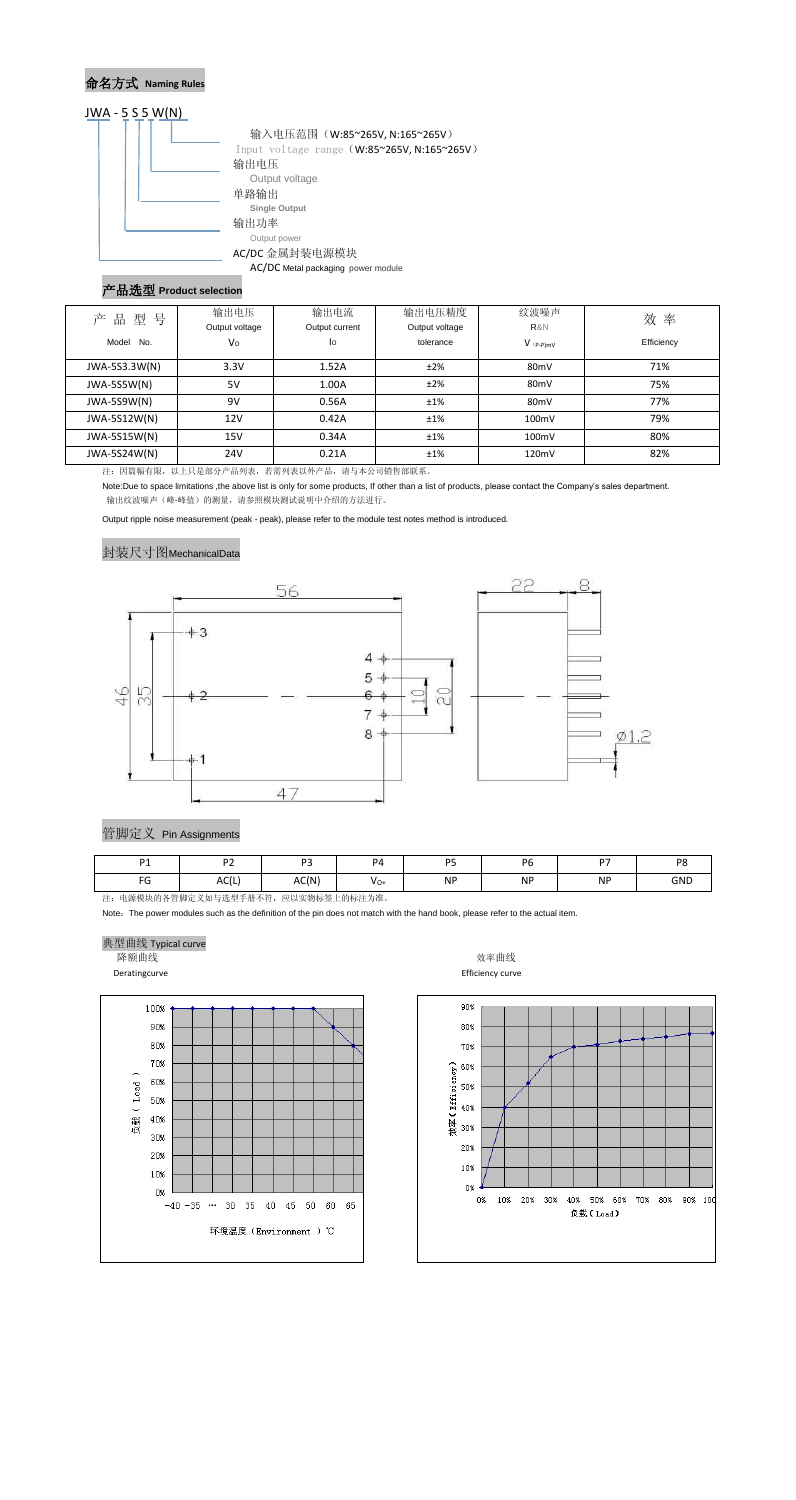## 命名方式 **Naming Rules**



#### 产品选型 **Product selection**

| 号<br>品<br>型<br>产 | 输出电压<br>Output voltage | 输出电流<br>Output current | 输出电压精度<br>Output voltage | 纹波噪声<br>R&N       | 效率         |
|------------------|------------------------|------------------------|--------------------------|-------------------|------------|
| Model<br>No.     | Vo                     | lo                     | tolerance                | $V$ (p-p)mV       | Efficiency |
| JWA-5S3.3W(N)    | 3.3V                   | 1.52A                  | ±2%                      | 80 <sub>m</sub> V | 71%        |
| JWA-5S5W(N)      | 5V                     | 1.00A                  | ±2%                      | 80 <sub>m</sub> V | 75%        |
| JWA-5S9W(N)      | 9V                     | 0.56A                  | ±1%                      | 80 <sub>m</sub> V | 77%        |
| JWA-5S12W(N)     | 12V                    | 0.42A                  | ±1%                      | 100mV             | 79%        |
| JWA-5S15W(N)     | 15V                    | 0.34A                  | ±1%                      | 100mV             | 80%        |
| JWA-5S24W(N)     | 24V                    | 0.21A                  | ±1%                      | 120mV             | 82%        |

注:因篇幅有限,以上只是部分产品列表,若需列表以外产品,请与本公司销售部联系。

Note:Due to space limitations ,the above list is only for some products, If other than a list of products, please contact the Company's sales department. 输出纹波噪声(峰-峰值)的测量,请参照模块测试说明中介绍的方法进行。

Output ripple noise measurement (peak - peak), please refer to the module test notes method is introduced.

#### 封装尺寸图MechanicalData



注:电源模块的各管脚定义如与选型手册不符,应以实物标签上的标注为准。

Note: The power modules such as the definition of the pin does not match with the hand book, please refer to the actual item.

#### 典型曲线 Typical curve

降额曲线 あかい おおやく かいしゃ かいしゃ あいしゃ あいしゃ あいかん 放率曲线

Deratingcurve **Efficiency** curve **Efficiency** curve





| D.4         | $\mathbf{D}$             | $\sim$ $\sim$ | P <sub>4</sub> | DE<br>- 11     | <b>D<sub>C</sub></b> | $\sim$    | DO         |
|-------------|--------------------------|---------------|----------------|----------------|----------------------|-----------|------------|
| $\sim$<br>ν | $\Delta \cap U$<br>AC(L) | AC(N)         | $V_{O+}$       | <b>NP</b><br>. | <b>NP</b>            | <b>NP</b> | <b>GND</b> |